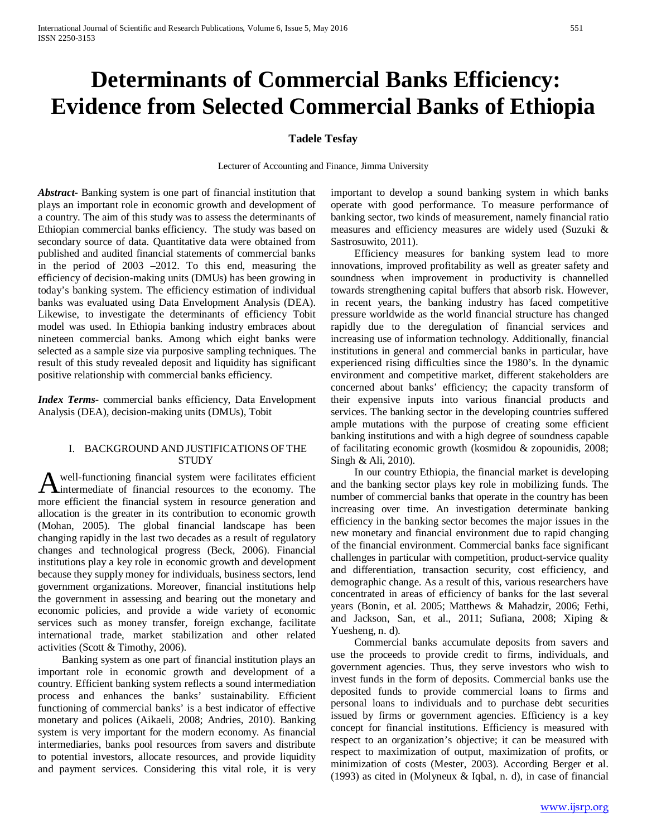# **Determinants of Commercial Banks Efficiency: Evidence from Selected Commercial Banks of Ethiopia**

# **Tadele Tesfay**

Lecturer of Accounting and Finance, Jimma University

*Abstract***-** Banking system is one part of financial institution that plays an important role in economic growth and development of a country. The aim of this study was to assess the determinants of Ethiopian commercial banks efficiency. The study was based on secondary source of data. Quantitative data were obtained from published and audited financial statements of commercial banks in the period of 2003 –2012. To this end, measuring the efficiency of decision-making units (DMUs) has been growing in today's banking system. The efficiency estimation of individual banks was evaluated using Data Envelopment Analysis (DEA). Likewise, to investigate the determinants of efficiency Tobit model was used. In Ethiopia banking industry embraces about nineteen commercial banks. Among which eight banks were selected as a sample size via purposive sampling techniques. The result of this study revealed deposit and liquidity has significant positive relationship with commercial banks efficiency.

*Index Terms*- commercial banks efficiency, Data Envelopment Analysis (DEA), decision-making units (DMUs), Tobit

## I. BACKGROUND AND JUSTIFICATIONS OF THE **STUDY**

well-functioning financial system were facilitates efficient A well-functioning financial system were facilitates efficient<br>intermediate of financial resources to the economy. The more efficient the financial system in resource generation and allocation is the greater in its contribution to economic growth (Mohan, 2005). The global financial landscape has been changing rapidly in the last two decades as a result of regulatory changes and technological progress (Beck, 2006). Financial institutions play a key role in economic growth and development because they supply money for individuals, business sectors, lend government organizations. Moreover, financial institutions help the government in assessing and bearing out the monetary and economic policies, and provide a wide variety of economic services such as money transfer, foreign exchange, facilitate international trade, market stabilization and other related activities (Scott & Timothy, 2006).

 Banking system as one part of financial institution plays an important role in economic growth and development of a country. Efficient banking system reflects a sound intermediation process and enhances the banks' sustainability. Efficient functioning of commercial banks' is a best indicator of effective monetary and polices (Aikaeli, 2008; Andries, 2010). Banking system is very important for the modern economy. As financial intermediaries, banks pool resources from savers and distribute to potential investors, allocate resources, and provide liquidity and payment services. Considering this vital role, it is very important to develop a sound banking system in which banks operate with good performance. To measure performance of banking sector, two kinds of measurement, namely financial ratio measures and efficiency measures are widely used (Suzuki & Sastrosuwito, 2011).

 Efficiency measures for banking system lead to more innovations, improved profitability as well as greater safety and soundness when improvement in productivity is channelled towards strengthening capital buffers that absorb risk. However, in recent years, the banking industry has faced competitive pressure worldwide as the world financial structure has changed rapidly due to the deregulation of financial services and increasing use of information technology. Additionally, financial institutions in general and commercial banks in particular, have experienced rising difficulties since the 1980's. In the dynamic environment and competitive market, different stakeholders are concerned about banks' efficiency; the capacity transform of their expensive inputs into various financial products and services. The banking sector in the developing countries suffered ample mutations with the purpose of creating some efficient banking institutions and with a high degree of soundness capable of facilitating economic growth (kosmidou & zopounidis, 2008; Singh & Ali, 2010).

 In our country Ethiopia, the financial market is developing and the banking sector plays key role in mobilizing funds. The number of commercial banks that operate in the country has been increasing over time. An investigation determinate banking efficiency in the banking sector becomes the major issues in the new monetary and financial environment due to rapid changing of the financial environment. Commercial banks face significant challenges in particular with competition, product-service quality and differentiation, transaction security, cost efficiency, and demographic change. As a result of this, various researchers have concentrated in areas of efficiency of banks for the last several years (Bonin, et al. 2005; Matthews & Mahadzir, 2006; Fethi, and Jackson, San, et al., 2011; Sufiana, 2008; Xiping & Yuesheng, n. d).

 Commercial banks accumulate deposits from savers and use the proceeds to provide credit to firms, individuals, and government agencies. Thus, they serve investors who wish to invest funds in the form of deposits. Commercial banks use the deposited funds to provide commercial loans to firms and personal loans to individuals and to purchase debt securities issued by firms or government agencies. Efficiency is a key concept for financial institutions. Efficiency is measured with respect to an organization's objective; it can be measured with respect to maximization of output, maximization of profits, or minimization of costs (Mester, 2003). According Berger et al. (1993) as cited in (Molyneux & Iqbal, n. d), in case of financial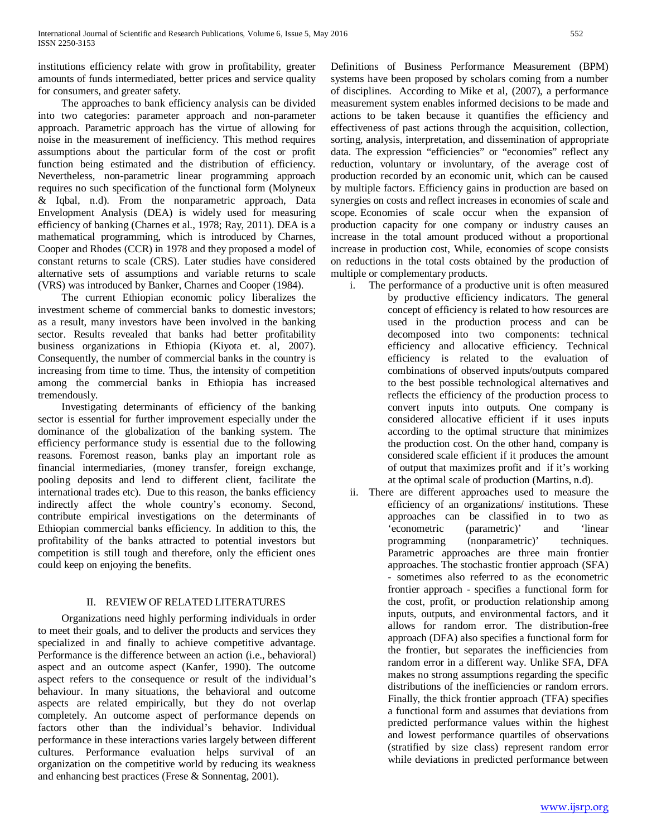institutions efficiency relate with grow in profitability, greater amounts of funds intermediated, better prices and service quality for consumers, and greater safety.

 The approaches to bank efficiency analysis can be divided into two categories: parameter approach and non-parameter approach. Parametric approach has the virtue of allowing for noise in the measurement of inefficiency. This method requires assumptions about the particular form of the cost or profit function being estimated and the distribution of efficiency. Nevertheless, non-parametric linear programming approach requires no such specification of the functional form (Molyneux & Iqbal, n.d). From the nonparametric approach, Data Envelopment Analysis (DEA) is widely used for measuring efficiency of banking (Charnes et al., 1978; Ray, 2011). DEA is a mathematical programming, which is introduced by Charnes, Cooper and Rhodes (CCR) in 1978 and they proposed a model of constant returns to scale (CRS). Later studies have considered alternative sets of assumptions and variable returns to scale (VRS) was introduced by Banker, Charnes and Cooper (1984).

 The current Ethiopian economic policy liberalizes the investment scheme of commercial banks to domestic investors; as a result, many investors have been involved in the banking sector. Results revealed that banks had better profitability business organizations in Ethiopia (Kiyota et. al, 2007). Consequently, the number of commercial banks in the country is increasing from time to time. Thus, the intensity of competition among the commercial banks in Ethiopia has increased tremendously.

 Investigating determinants of efficiency of the banking sector is essential for further improvement especially under the dominance of the globalization of the banking system. The efficiency performance study is essential due to the following reasons. Foremost reason, banks play an important role as financial intermediaries, (money transfer, foreign exchange, pooling deposits and lend to different client, facilitate the international trades etc). Due to this reason, the banks efficiency indirectly affect the whole country's economy. Second, contribute empirical investigations on the determinants of Ethiopian commercial banks efficiency. In addition to this, the profitability of the banks attracted to potential investors but competition is still tough and therefore, only the efficient ones could keep on enjoying the benefits.

## II. REVIEW OF RELATED LITERATURES

 Organizations need highly performing individuals in order to meet their goals, and to deliver the products and services they specialized in and finally to achieve competitive advantage. Performance is the difference between an action (i.e., behavioral) aspect and an outcome aspect (Kanfer, 1990). The outcome aspect refers to the consequence or result of the individual's behaviour. In many situations, the behavioral and outcome aspects are related empirically, but they do not overlap completely. An outcome aspect of performance depends on factors other than the individual's behavior. Individual performance in these interactions varies largely between different cultures. Performance evaluation helps survival of an organization on the competitive world by reducing its weakness and enhancing best practices (Frese & Sonnentag, 2001).

Definitions of Business Performance Measurement (BPM) systems have been proposed by scholars coming from a number of disciplines. According to Mike et al, (2007), a performance measurement system enables informed decisions to be made and actions to be taken because it quantifies the efficiency and effectiveness of past actions through the acquisition, collection, sorting, analysis, interpretation, and dissemination of appropriate data. The expression "efficiencies" or "economies" reflect any reduction, voluntary or involuntary, of the average cost of production recorded by an economic unit, which can be caused by multiple factors. Efficiency gains in production are based on synergies on costs and reflect increases in economies of scale and scope*.* Economies of scale occur when the expansion of production capacity for one company or industry causes an increase in the total amount produced without a proportional increase in production cost, While, economies of scope consists on reductions in the total costs obtained by the production of multiple or complementary products.

- i. The performance of a productive unit is often measured by productive efficiency indicators. The general concept of efficiency is related to how resources are used in the production process and can be decomposed into two components: technical efficiency and allocative efficiency. Technical efficiency is related to the evaluation of combinations of observed inputs/outputs compared to the best possible technological alternatives and reflects the efficiency of the production process to convert inputs into outputs. One company is considered allocative efficient if it uses inputs according to the optimal structure that minimizes the production cost. On the other hand, company is considered scale efficient if it produces the amount of output that maximizes profit and if it's working at the optimal scale of production (Martins, n.d).
- ii. There are different approaches used to measure the efficiency of an organizations/ institutions. These approaches can be classified in to two as 'econometric (parametric)' and 'linear programming (nonparametric)' techniques. Parametric approaches are three main frontier approaches. The stochastic frontier approach (SFA) - sometimes also referred to as the econometric frontier approach - specifies a functional form for the cost, profit, or production relationship among inputs, outputs, and environmental factors, and it allows for random error. The distribution-free approach (DFA) also specifies a functional form for the frontier, but separates the inefficiencies from random error in a different way. Unlike SFA, DFA makes no strong assumptions regarding the specific distributions of the inefficiencies or random errors. Finally, the thick frontier approach (TFA) specifies a functional form and assumes that deviations from predicted performance values within the highest and lowest performance quartiles of observations (stratified by size class) represent random error while deviations in predicted performance between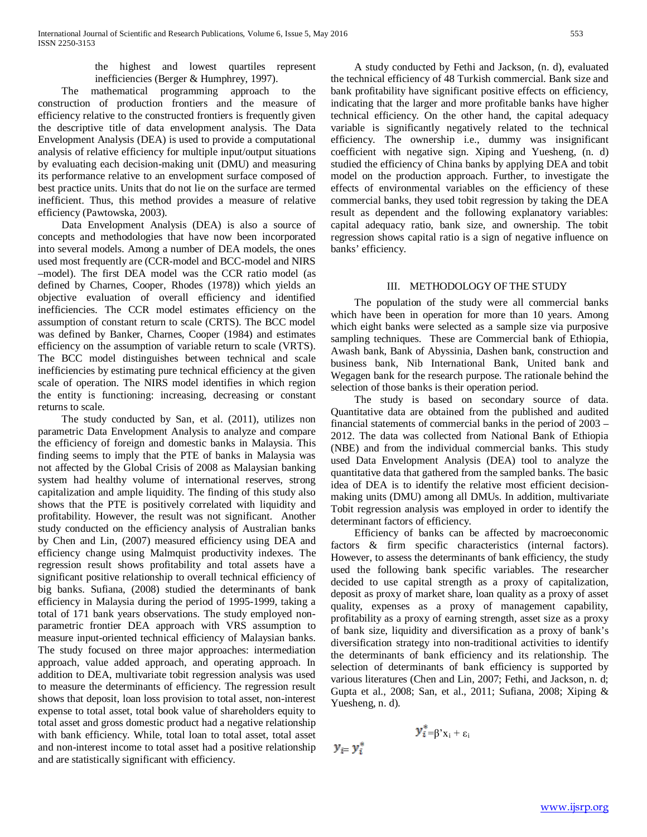the highest and lowest quartiles represent inefficiencies (Berger & Humphrey, 1997).

 The mathematical programming approach to the construction of production frontiers and the measure of efficiency relative to the constructed frontiers is frequently given the descriptive title of data envelopment analysis. The Data Envelopment Analysis (DEA) is used to provide a computational analysis of relative efficiency for multiple input/output situations by evaluating each decision-making unit (DMU) and measuring its performance relative to an envelopment surface composed of best practice units. Units that do not lie on the surface are termed inefficient. Thus, this method provides a measure of relative efficiency (Pawtowska, 2003).

 Data Envelopment Analysis (DEA) is also a source of concepts and methodologies that have now been incorporated into several models. Among a number of DEA models, the ones used most frequently are (CCR-model and BCC-model and NIRS –model). The first DEA model was the CCR ratio model (as defined by Charnes, Cooper, Rhodes (1978)) which yields an objective evaluation of overall efficiency and identified inefficiencies. The CCR model estimates efficiency on the assumption of constant return to scale (CRTS). The BCC model was defined by Banker, Charnes, Cooper (1984) and estimates efficiency on the assumption of variable return to scale (VRTS). The BCC model distinguishes between technical and scale inefficiencies by estimating pure technical efficiency at the given scale of operation. The NIRS model identifies in which region the entity is functioning: increasing, decreasing or constant returns to scale.

 The study conducted by San, et al. (2011), utilizes non parametric Data Envelopment Analysis to analyze and compare the efficiency of foreign and domestic banks in Malaysia. This finding seems to imply that the PTE of banks in Malaysia was not affected by the Global Crisis of 2008 as Malaysian banking system had healthy volume of international reserves, strong capitalization and ample liquidity. The finding of this study also shows that the PTE is positively correlated with liquidity and profitability. However, the result was not significant. Another study conducted on the efficiency analysis of Australian banks by Chen and Lin, (2007) measured efficiency using DEA and efficiency change using Malmquist productivity indexes. The regression result shows profitability and total assets have a significant positive relationship to overall technical efficiency of big banks. Sufiana, (2008) studied the determinants of bank efficiency in Malaysia during the period of 1995-1999, taking a total of 171 bank years observations. The study employed nonparametric frontier DEA approach with VRS assumption to measure input-oriented technical efficiency of Malaysian banks. The study focused on three major approaches: intermediation approach, value added approach, and operating approach. In addition to DEA, multivariate tobit regression analysis was used to measure the determinants of efficiency. The regression result shows that deposit, loan loss provision to total asset, non-interest expense to total asset, total book value of shareholders equity to total asset and gross domestic product had a negative relationship with bank efficiency. While, total loan to total asset, total asset and non-interest income to total asset had a positive relationship and are statistically significant with efficiency.

 A study conducted by Fethi and Jackson, (n. d), evaluated the technical efficiency of 48 Turkish commercial. Bank size and bank profitability have significant positive effects on efficiency, indicating that the larger and more profitable banks have higher technical efficiency. On the other hand, the capital adequacy variable is significantly negatively related to the technical efficiency. The ownership i.e., dummy was insignificant coefficient with negative sign. Xiping and Yuesheng, (n. d) studied the efficiency of China banks by applying DEA and tobit model on the production approach. Further, to investigate the effects of environmental variables on the efficiency of these commercial banks, they used tobit regression by taking the DEA result as dependent and the following explanatory variables: capital adequacy ratio, bank size, and ownership. The tobit regression shows capital ratio is a sign of negative influence on banks' efficiency.

## III. METHODOLOGY OF THE STUDY

 The population of the study were all commercial banks which have been in operation for more than 10 years. Among which eight banks were selected as a sample size via purposive sampling techniques. These are Commercial bank of Ethiopia, Awash bank, Bank of Abyssinia, Dashen bank, construction and business bank, Nib International Bank, United bank and Wegagen bank for the research purpose. The rationale behind the selection of those banks is their operation period.

 The study is based on secondary source of data. Quantitative data are obtained from the published and audited financial statements of commercial banks in the period of 2003 – 2012. The data was collected from National Bank of Ethiopia (NBE) and from the individual commercial banks. This study used Data Envelopment Analysis (DEA) tool to analyze the quantitative data that gathered from the sampled banks. The basic idea of DEA is to identify the relative most efficient decisionmaking units (DMU) among all DMUs. In addition, multivariate Tobit regression analysis was employed in order to identify the determinant factors of efficiency.

 Efficiency of banks can be affected by macroeconomic factors & firm specific characteristics (internal factors). However, to assess the determinants of bank efficiency, the study used the following bank specific variables. The researcher decided to use capital strength as a proxy of capitalization, deposit as proxy of market share, loan quality as a proxy of asset quality, expenses as a proxy of management capability, profitability as a proxy of earning strength, asset size as a proxy of bank size, liquidity and diversification as a proxy of bank's diversification strategy into non-traditional activities to identify the determinants of bank efficiency and its relationship. The selection of determinants of bank efficiency is supported by various literatures (Chen and Lin, 2007; Fethi, and Jackson, n. d; Gupta et al., 2008; San, et al., 2011; Sufiana, 2008; Xiping & Yuesheng, n. d).

$$
y_{i}^* = \beta' x_i + \epsilon_i
$$
  

$$
y_{i-} y_i^*
$$

 $y_i = y_i^*$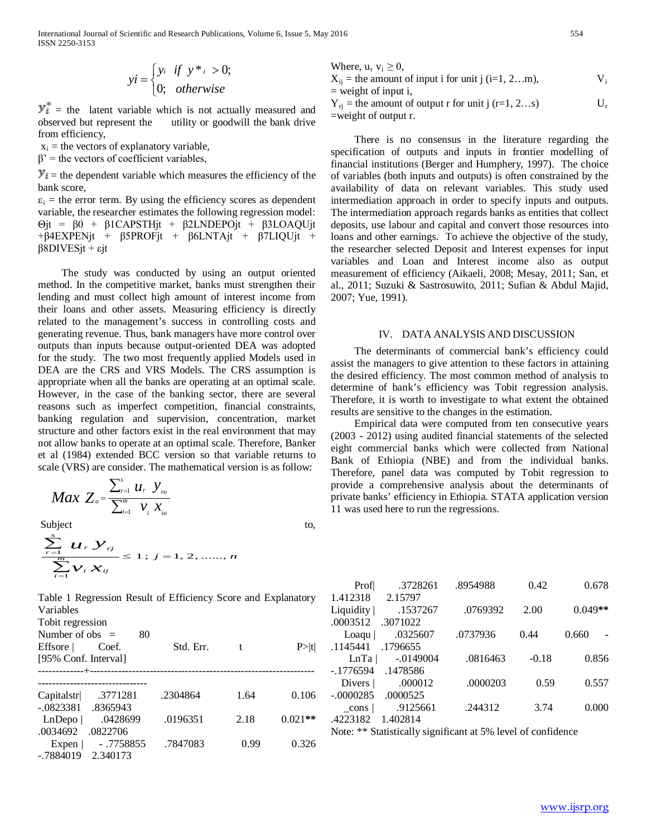$$
yi = \begin{cases} yi & if \ y^* = 0; \\ 0; & otherwise \end{cases}
$$

 $\mathbf{y}_i^*$  = the latent variable which is not actually measured and observed but represent the utility or goodwill the bank drive from efficiency,

 $x_i$  = the vectors of explanatory variable,

 $\beta'$  = the vectors of coefficient variables,

 $\mathbf{y}_i$  = the dependent variable which measures the efficiency of the bank score,

 $\varepsilon_i$  = the error term. By using the efficiency scores as dependent variable, the researcher estimates the following regression model: Θjt = β0 + β1CAPSTHjt + β2LNDEPOjt + β3LOAQUjt  $+β4EXPENjt + β5PROFjt + β6LNTAjt + β7LIQUjt +$ β8DIVESjt + εjt

 The study was conducted by using an output oriented method. In the competitive market, banks must strengthen their lending and must collect high amount of interest income from their loans and other assets. Measuring efficiency is directly related to the management's success in controlling costs and generating revenue. Thus, bank managers have more control over outputs than inputs because output-oriented DEA was adopted for the study. The two most frequently applied Models used in DEA are the CRS and VRS Models. The CRS assumption is appropriate when all the banks are operating at an optimal scale. However, in the case of the banking sector, there are several reasons such as imperfect competition, financial constraints, banking regulation and supervision, concentration, market structure and other factors exist in the real environment that may not allow banks to operate at an optimal scale. Therefore, Banker et al (1984) extended BCC version so that variable returns to scale (VRS) are consider. The mathematical version is as follow:

$$
Max Z_o = \frac{\sum_{r=1}^{s} u_r y_{ro}}{\sum_{i=1}^{m} v_i x_{io}}
$$

Subject to,

$$
\frac{\sum_{r=1}^{s} u_r y_{rj}}{\sum_{i=1}^{m} v_i x_{ij}} \le 1; j = 1, 2, \dots, n
$$

Table 1 Regression Result of Efficiency Score and Explanatory Variables

Tobit regression

-.7884019 2.340173

| Number of obs $=$<br>Effsore  <br>[95% Conf. Interval] | 80<br>Coef.                                    | Std. Err. |      | P >  t    |
|--------------------------------------------------------|------------------------------------------------|-----------|------|-----------|
| Capitalstr                                             | .3771281                                       | .2304864  | 1.64 | 0.106     |
| LnDepo<br>.0034692                                     | $-.0823381$ $.8365943$<br>.0428699<br>.0822706 | .0196351  | 2.18 | $0.021**$ |

Expen | - .7758855 .7847083 0.99 0.326

Where,  $u_r v_i \geq 0$ ,  $X_{ii}$  = the amount of input i for unit j (i=1, 2...m),  $V_i$  $=$  weight of input i,

 $Y_{ri}$  = the amount of output r for unit j (r=1, 2...s)  $U_r$ =weight of output r.

 There is no consensus in the literature regarding the specification of outputs and inputs in frontier modelling of financial institutions (Berger and Humphery, 1997). The choice of variables (both inputs and outputs) is often constrained by the availability of data on relevant variables. This study used intermediation approach in order to specify inputs and outputs. The intermediation approach regards banks as entities that collect deposits, use labour and capital and convert those resources into loans and other earnings. To achieve the objective of the study, the researcher selected Deposit and Interest expenses for input variables and Loan and Interest income also as output measurement of efficiency (Aikaeli, 2008; Mesay, 2011; San, et al., 2011; Suzuki & Sastrosuwito, 2011; Sufian & Abdul Majid, 2007; Yue, 1991).

#### IV. DATA ANALYSIS AND DISCUSSION

 The determinants of commercial bank's efficiency could assist the managers to give attention to these factors in attaining the desired efficiency. The most common method of analysis to determine of bank's efficiency was Tobit regression analysis. Therefore, it is worth to investigate to what extent the obtained results are sensitive to the changes in the estimation.

 Empirical data were computed from ten consecutive years (2003 - 2012) using audited financial statements of the selected eight commercial banks which were collected from National Bank of Ethiopia (NBE) and from the individual banks. Therefore, panel data was computed by Tobit regression to provide a comprehensive analysis about the determinants of private banks' efficiency in Ethiopia. STATA application version 11 was used here to run the regressions.

| Prof            | .3728261  | .8954988 | 0.42    | 0.678     |
|-----------------|-----------|----------|---------|-----------|
| 1.412318        | 2.15797   |          |         |           |
| Liquidity       | .1537267  | .0769392 | 2.00    | $0.049**$ |
| .0003512        | .3071022  |          |         |           |
| $\text{Load}$ u | .0325607  | .0737936 | 0.44    | 0.660     |
| .1145441        | .1796655  |          |         |           |
| LnTa            | -.0149004 | .0816463 | $-0.18$ | 0.856     |
| -.1776594       | .1478586  |          |         |           |
| Divers          | .000012   | .0000203 | 0.59    | 0.557     |
| $-.0000285$     | .0000525  |          |         |           |
| cons            | .9125661  | .244312  | 3.74    | 0.000     |
| .4223182        | 1.402814  |          |         |           |

Note: \*\* Statistically significant at 5% level of confidence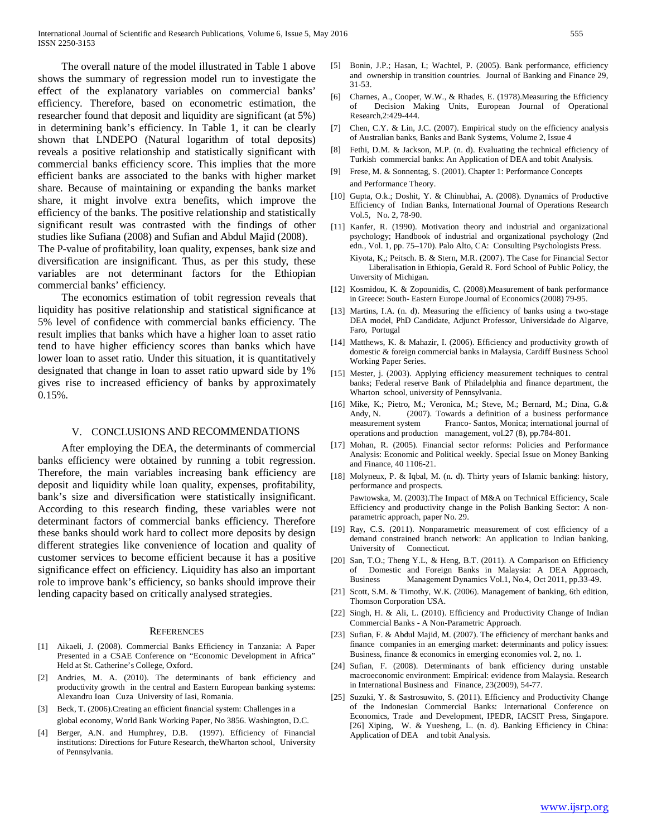The overall nature of the model illustrated in Table 1 above shows the summary of regression model run to investigate the effect of the explanatory variables on commercial banks' efficiency. Therefore, based on econometric estimation, the researcher found that deposit and liquidity are significant (at 5%) in determining bank's efficiency. In Table 1, it can be clearly shown that LNDEPO (Natural logarithm of total deposits) reveals a positive relationship and statistically significant with commercial banks efficiency score. This implies that the more efficient banks are associated to the banks with higher market share. Because of maintaining or expanding the banks market share, it might involve extra benefits, which improve the efficiency of the banks. The positive relationship and statistically significant result was contrasted with the findings of other studies like Sufiana (2008) and Sufian and Abdul Majid (2008). The P-value of profitability, loan quality, expenses, bank size and

diversification are insignificant. Thus, as per this study, these variables are not determinant factors for the Ethiopian commercial banks' efficiency.

 The economics estimation of tobit regression reveals that liquidity has positive relationship and statistical significance at 5% level of confidence with commercial banks efficiency. The result implies that banks which have a higher loan to asset ratio tend to have higher efficiency scores than banks which have lower loan to asset ratio. Under this situation, it is quantitatively designated that change in loan to asset ratio upward side by 1% gives rise to increased efficiency of banks by approximately 0.15%.

#### V. CONCLUSIONS AND RECOMMENDATIONS

 After employing the DEA, the determinants of commercial banks efficiency were obtained by running a tobit regression. Therefore, the main variables increasing bank efficiency are deposit and liquidity while loan quality, expenses, profitability, bank's size and diversification were statistically insignificant. According to this research finding, these variables were not determinant factors of commercial banks efficiency. Therefore these banks should work hard to collect more deposits by design different strategies like convenience of location and quality of customer services to become efficient because it has a positive significance effect on efficiency. Liquidity has also an important role to improve bank's efficiency, so banks should improve their lending capacity based on critically analysed strategies.

#### **REFERENCES**

- [1] Aikaeli, J. (2008). Commercial Banks Efficiency in Tanzania: A Paper Presented in a CSAE Conference on "Economic Development in Africa" Held at St. Catherine's College, Oxford.
- [2] Andries, M. A. (2010). The determinants of bank efficiency and productivity growth in the central and Eastern European banking systems: Alexandru Ioan Cuza University of Iasi, Romania.
- [3] Beck, T. (2006).Creating an efficient financial system: Challenges in a global economy, World Bank Working Paper, No 3856. Washington, D.C.
- Berger, A.N. and Humphrey, D.B. (1997). Efficiency of Financial institutions: Directions for Future Research, theWharton school, University of Pennsylvania.
- [5] Bonin, J.P.; Hasan, I.; Wachtel, P. (2005). Bank performance, efficiency and ownership in transition countries. Journal of Banking and Finance 29, 31-53.
- [6] Charnes, A., Cooper, W.W., & Rhades, E. (1978).Measuring the Efficiency of Decision Making Units, European Journal of Operational Research,2:429-444.
- [7] Chen, C.Y. & Lin, J.C. (2007). Empirical study on the efficiency analysis of Australian banks, Banks and Bank Systems, Volume 2, Issue 4
- [8] Fethi, D.M. & Jackson, M.P. (n. d). Evaluating the technical efficiency of Turkish commercial banks: An Application of DEA and tobit Analysis.
- [9] Frese, M. & Sonnentag, S. (2001). Chapter 1: Performance Concepts and Performance Theory.
- [10] Gupta, O.k.; Doshit, Y. & Chinubhai, A. (2008). Dynamics of Productive Efficiency of Indian Banks, International Journal of Operations Research Vol.5, No. 2, 78-90.
- [11] Kanfer, R. (1990). Motivation theory and industrial and organizational psychology; Handbook of industrial and organizational psychology (2nd edn., Vol. 1, pp. 75–170). Palo Alto, CA: Consulting Psychologists Press. Kiyota, K,; Peitsch. B. & Stern, M.R. (2007). The Case for Financial Sector Liberalisation in Ethiopia, Gerald R. Ford School of Public Policy, the Unversity of Michigan.
- [12] Kosmidou, K. & Zopounidis, C. (2008).Measurement of bank performance in Greece: South- Eastern Europe Journal of Economics (2008) 79-95.
- [13] Martins, I.A. (n. d). Measuring the efficiency of banks using a two-stage DEA model, PhD Candidate, Adjunct Professor, Universidade do Algarve, Faro, Portugal
- [14] Matthews, K. & Mahazir, I. (2006). Efficiency and productivity growth of domestic & foreign commercial banks in Malaysia, Cardiff Business School Working Paper Series.
- [15] Mester, j. (2003). Applying efficiency measurement techniques to central banks; Federal reserve Bank of Philadelphia and finance department, the Wharton school, university of Pennsylvania.
- [16] Mike, K.; Pietro, M.; Veronica, M.; Steve, M.; Bernard, M.; Dina, G.& Andy, N. (2007). Towards a definition of a business performance measurement system Franco- Santos, Monica; international journal of operations and production management, vol.27 (8), pp.784-801.
- [17] Mohan, R. (2005). Financial sector reforms: Policies and Performance Analysis: Economic and Political weekly. Special Issue on Money Banking and Finance, 40 1106-21.
- [18] Molyneux, P. & Iqbal, M. (n. d). Thirty years of Islamic banking: history, performance and prospects. Pawtowska, M. (2003).The Impact of M&A on Technical Efficiency, Scale Efficiency and productivity change in the Polish Banking Sector: A nonparametric approach, paper No. 29.
- [19] Ray, C.S. (2011). Nonparametric measurement of cost efficiency of a demand constrained branch network: An application to Indian banking, University of Connecticut.
- [20] San, T.O.; Theng Y.L, & Heng, B.T. (2011). A Comparison on Efficiency of Domestic and Foreign Banks in Malaysia: A DEA Approach, Business Management Dynamics Vol.1, No.4, Oct 2011, pp.33-49.
- [21] Scott, S.M. & Timothy, W.K. (2006). Management of banking, 6th edition, Thomson Corporation USA.
- [22] Singh, H. & Ali, L. (2010). Efficiency and Productivity Change of Indian Commercial Banks - A Non-Parametric Approach.
- [23] Sufian, F. & Abdul Majid, M. (2007). The efficiency of merchant banks and finance companies in an emerging market: determinants and policy issues: Business, finance & economics in emerging economies vol. 2, no. 1.
- [24] Sufian, F. (2008). Determinants of bank efficiency during unstable macroeconomic environment: Empirical: evidence from Malaysia. Research in International Business and Finance, 23(2009), 54-77.
- [25] Suzuki, Y. & Sastrosuwito, S. (2011). Efficiency and Productivity Change of the Indonesian Commercial Banks: International Conference on Economics, Trade and Development, IPEDR, IACSIT Press, Singapore. [26] Xiping, W. & Yuesheng, L. (n. d). Banking Efficiency in China: Application of DEA and tobit Analysis.